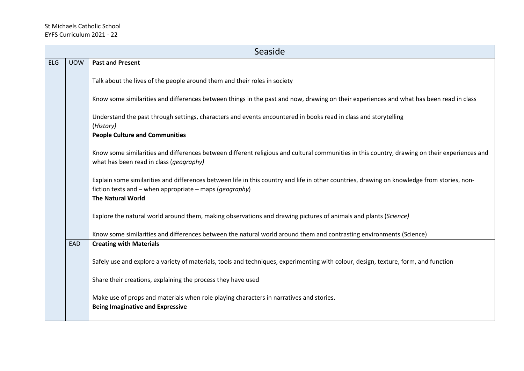## St Michaels Catholic School EYFS Curriculum 2021 - 22

|     | Seaside                                                                                                                                                             |                                                                                                                                                                                                                                             |  |  |  |  |
|-----|---------------------------------------------------------------------------------------------------------------------------------------------------------------------|---------------------------------------------------------------------------------------------------------------------------------------------------------------------------------------------------------------------------------------------|--|--|--|--|
| ELG | <b>UOW</b>                                                                                                                                                          | <b>Past and Present</b>                                                                                                                                                                                                                     |  |  |  |  |
|     |                                                                                                                                                                     | Talk about the lives of the people around them and their roles in society                                                                                                                                                                   |  |  |  |  |
|     |                                                                                                                                                                     | Know some similarities and differences between things in the past and now, drawing on their experiences and what has been read in class                                                                                                     |  |  |  |  |
|     |                                                                                                                                                                     | Understand the past through settings, characters and events encountered in books read in class and storytelling<br>(History)                                                                                                                |  |  |  |  |
|     |                                                                                                                                                                     | <b>People Culture and Communities</b>                                                                                                                                                                                                       |  |  |  |  |
|     |                                                                                                                                                                     | Know some similarities and differences between different religious and cultural communities in this country, drawing on their experiences and<br>what has been read in class (geography)                                                    |  |  |  |  |
|     |                                                                                                                                                                     | Explain some similarities and differences between life in this country and life in other countries, drawing on knowledge from stories, non-<br>fiction texts and – when appropriate – maps ( <i>geography</i> )<br><b>The Natural World</b> |  |  |  |  |
|     |                                                                                                                                                                     | Explore the natural world around them, making observations and drawing pictures of animals and plants (Science)                                                                                                                             |  |  |  |  |
|     | Know some similarities and differences between the natural world around them and contrasting environments (Science)<br><b>EAD</b><br><b>Creating with Materials</b> |                                                                                                                                                                                                                                             |  |  |  |  |
|     |                                                                                                                                                                     | Safely use and explore a variety of materials, tools and techniques, experimenting with colour, design, texture, form, and function                                                                                                         |  |  |  |  |
|     |                                                                                                                                                                     | Share their creations, explaining the process they have used                                                                                                                                                                                |  |  |  |  |
|     |                                                                                                                                                                     | Make use of props and materials when role playing characters in narratives and stories.<br><b>Being Imaginative and Expressive</b>                                                                                                          |  |  |  |  |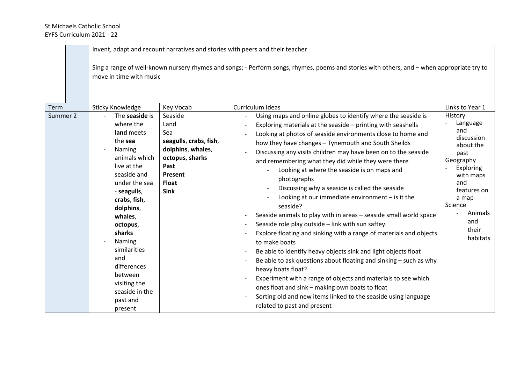|                  | move in time with music                                                                                                                                                                                                                                                                                                                                    |                                                                                                                                                         | Invent, adapt and recount narratives and stories with peers and their teacher<br>Sing a range of well-known nursery rhymes and songs; - Perform songs, rhymes, poems and stories with others, and – when appropriate try to                                                                                                                                                                                                                                                                                                                                                                                                                                                                                                                                                                                                                                                                                                                                                                                                                                                                                                                                                                                                                                                 |                                                                                                                                                                                                          |
|------------------|------------------------------------------------------------------------------------------------------------------------------------------------------------------------------------------------------------------------------------------------------------------------------------------------------------------------------------------------------------|---------------------------------------------------------------------------------------------------------------------------------------------------------|-----------------------------------------------------------------------------------------------------------------------------------------------------------------------------------------------------------------------------------------------------------------------------------------------------------------------------------------------------------------------------------------------------------------------------------------------------------------------------------------------------------------------------------------------------------------------------------------------------------------------------------------------------------------------------------------------------------------------------------------------------------------------------------------------------------------------------------------------------------------------------------------------------------------------------------------------------------------------------------------------------------------------------------------------------------------------------------------------------------------------------------------------------------------------------------------------------------------------------------------------------------------------------|----------------------------------------------------------------------------------------------------------------------------------------------------------------------------------------------------------|
| Term<br>Summer 2 | <b>Sticky Knowledge</b><br>The seaside is<br>where the<br>land meets<br>the sea<br>Naming<br>animals which<br>live at the<br>seaside and<br>under the sea<br>- seagulls,<br>crabs, fish,<br>dolphins,<br>whales,<br>octopus,<br>sharks<br>Naming<br>similarities<br>and<br>differences<br>between<br>visiting the<br>seaside in the<br>past and<br>present | Key Vocab<br>Seaside<br>Land<br>Sea<br>seagulls, crabs, fish,<br>dolphins, whales,<br>octopus, sharks<br>Past<br>Present<br><b>Float</b><br><b>Sink</b> | Curriculum Ideas<br>Using maps and online globes to identify where the seaside is<br>Exploring materials at the seaside - printing with seashells<br>$\overline{\phantom{a}}$<br>Looking at photos of seaside environments close to home and<br>how they have changes - Tynemouth and South Sheilds<br>Discussing any visits children may have been on to the seaside<br>and remembering what they did while they were there<br>Looking at where the seaside is on maps and<br>photographs<br>Discussing why a seaside is called the seaside<br>Looking at our immediate environment $-$ is it the<br>seaside?<br>Seaside animals to play with in areas - seaside small world space<br>Seaside role play outside - link with sun saftey.<br>$\overline{\phantom{a}}$<br>Explore floating and sinking with a range of materials and objects<br>to make boats<br>Be able to identify heavy objects sink and light objects float<br>Be able to ask questions about floating and sinking $-$ such as why<br>$\overline{\phantom{a}}$<br>heavy boats float?<br>Experiment with a range of objects and materials to see which<br>ones float and sink - making own boats to float<br>Sorting old and new items linked to the seaside using language<br>related to past and present | Links to Year 1<br>History<br>Language<br>and<br>discussion<br>about the<br>past<br>Geography<br>Exploring<br>with maps<br>and<br>features on<br>a map<br>Science<br>Animals<br>and<br>their<br>habitats |